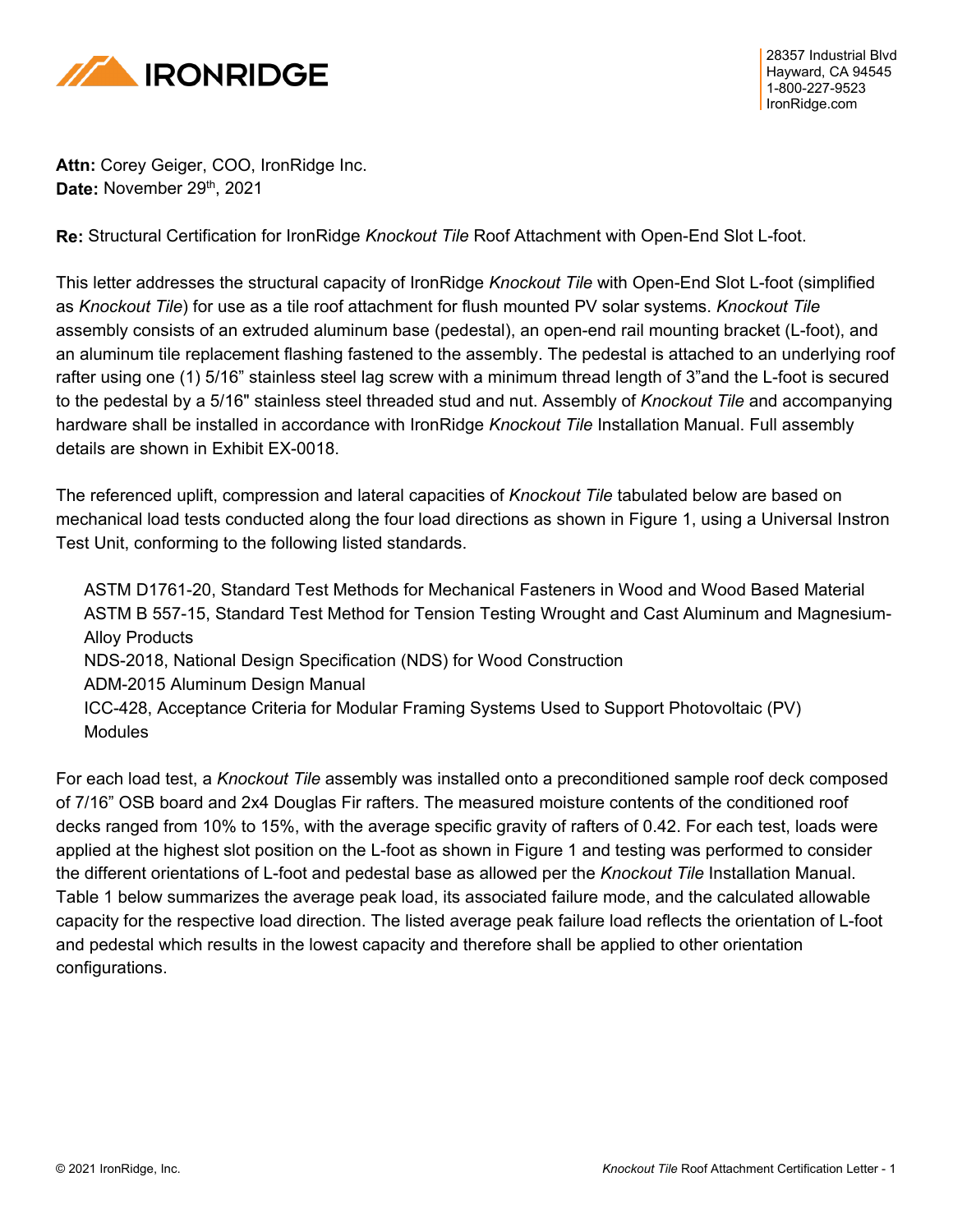

**Attn:** Corey Geiger, COO, IronRidge Inc. Date: November 29<sup>th</sup>, 2021

**Re:** Structural Certification for IronRidge *Knockout Tile* Roof Attachment with Open-End Slot L-foot.

This letter addresses the structural capacity of IronRidge *Knockout Tile* with Open-End Slot L-foot (simplified as *Knockout Tile*) for use as a tile roof attachment for flush mounted PV solar systems. *Knockout Tile* assembly consists of an extruded aluminum base (pedestal), an open-end rail mounting bracket (L-foot), and an aluminum tile replacement flashing fastened to the assembly. The pedestal is attached to an underlying roof rafter using one (1) 5/16" stainless steel lag screw with a minimum thread length of 3"and the L-foot is secured to the pedestal by a 5/16" stainless steel threaded stud and nut. Assembly of *Knockout Tile* and accompanying hardware shall be installed in accordance with IronRidge *Knockout Tile* Installation Manual. Full assembly details are shown in Exhibit EX-0018.

The referenced uplift, compression and lateral capacities of *Knockout Tile* tabulated below are based on mechanical load tests conducted along the four load directions as shown in Figure 1, using a Universal Instron Test Unit, conforming to the following listed standards.

ASTM D1761-20, Standard Test Methods for Mechanical Fasteners in Wood and Wood Based Material ASTM B 557-15, Standard Test Method for Tension Testing Wrought and Cast Aluminum and Magnesium-Alloy Products NDS-2018, National Design Specification (NDS) for Wood Construction ADM-2015 Aluminum Design Manual ICC-428, Acceptance Criteria for Modular Framing Systems Used to Support Photovoltaic (PV) **Modules** 

For each load test, a *Knockout Tile* assembly was installed onto a preconditioned sample roof deck composed of 7/16" OSB board and 2x4 Douglas Fir rafters. The measured moisture contents of the conditioned roof decks ranged from 10% to 15%, with the average specific gravity of rafters of 0.42. For each test, loads were applied at the highest slot position on the L-foot as shown in Figure 1 and testing was performed to consider the different orientations of L-foot and pedestal base as allowed per the *Knockout Tile* Installation Manual. Table 1 below summarizes the average peak load, its associated failure mode, and the calculated allowable capacity for the respective load direction. The listed average peak failure load reflects the orientation of L-foot and pedestal which results in the lowest capacity and therefore shall be applied to other orientation configurations.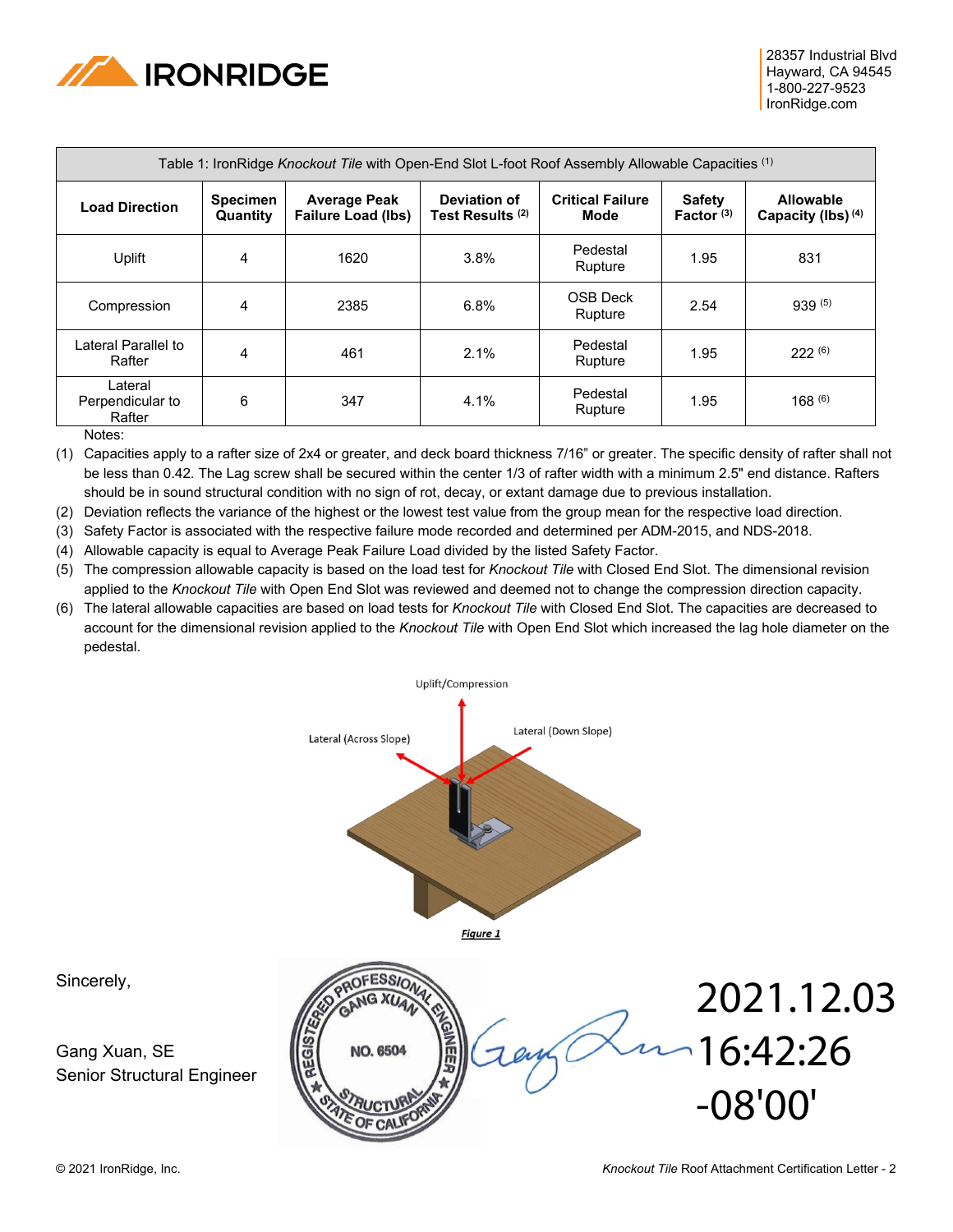

| Table 1: IronRidge Knockout Tile with Open-End Slot L-foot Roof Assembly Allowable Capacities (1) |                             |                                                  |                                             |                                 |                               |                                            |
|---------------------------------------------------------------------------------------------------|-----------------------------|--------------------------------------------------|---------------------------------------------|---------------------------------|-------------------------------|--------------------------------------------|
| <b>Load Direction</b>                                                                             | <b>Specimen</b><br>Quantity | <b>Average Peak</b><br><b>Failure Load (lbs)</b> | Deviation of<br>Test Results <sup>(2)</sup> | <b>Critical Failure</b><br>Mode | <b>Safety</b><br>Factor $(3)$ | Allowable<br>Capacity (lbs) <sup>(4)</sup> |
| Uplift                                                                                            | 4                           | 1620                                             | 3.8%                                        | Pedestal<br>Rupture             | 1.95                          | 831                                        |
| Compression                                                                                       | 4                           | 2385                                             | 6.8%                                        | OSB Deck<br>Rupture             | 2.54                          | 939(5)                                     |
| Lateral Parallel to<br>Rafter                                                                     | 4                           | 461                                              | 2.1%                                        | Pedestal<br>Rupture             | 1.95                          | 222(6)                                     |
| Lateral<br>Perpendicular to<br>Rafter                                                             | 6                           | 347                                              | 4.1%                                        | Pedestal<br>Rupture             | 1.95                          | 168(6)                                     |

Notes:

(1) Capacities apply to a rafter size of 2x4 or greater, and deck board thickness 7/16" or greater. The specific density of rafter shall not be less than 0.42. The Lag screw shall be secured within the center 1/3 of rafter width with a minimum 2.5" end distance. Rafters should be in sound structural condition with no sign of rot, decay, or extant damage due to previous installation.

(2) Deviation reflects the variance of the highest or the lowest test value from the group mean for the respective load direction.

(3) Safety Factor is associated with the respective failure mode recorded and determined per ADM-2015, and NDS-2018.

(4) Allowable capacity is equal to Average Peak Failure Load divided by the listed Safety Factor.

(5) The compression allowable capacity is based on the load test for *Knockout Tile* with Closed End Slot. The dimensional revision applied to the *Knockout Tile* with Open End Slot was reviewed and deemed not to change the compression direction capacity.

(6) The lateral allowable capacities are based on load tests for *Knockout Tile* with Closed End Slot. The capacities are decreased to account for the dimensional revision applied to the *Knockout Tile* with Open End Slot which increased the lag hole diameter on the pedestal.